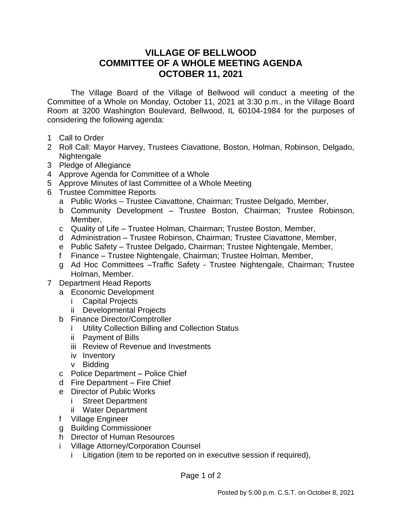## **VILLAGE OF BELLWOOD COMMITTEE OF A WHOLE MEETING AGENDA OCTOBER 11, 2021**

The Village Board of the Village of Bellwood will conduct a meeting of the Committee of a Whole on Monday, October 11, 2021 at 3:30 p.m., in the Village Board Room at 3200 Washington Boulevard, Bellwood, IL 60104-1984 for the purposes of considering the following agenda:

- 1 Call to Order
- 2 Roll Call: Mayor Harvey, Trustees Ciavattone, Boston, Holman, Robinson, Delgado, Nightengale
- 3 Pledge of Allegiance
- 4 Approve Agenda for Committee of a Whole
- 5 Approve Minutes of last Committee of a Whole Meeting
- 6 Trustee Committee Reports
	- a Public Works Trustee Ciavattone, Chairman; Trustee Delgado, Member,
	- b Community Development Trustee Boston, Chairman; Trustee Robinson, Member,
	- c Quality of Life Trustee Holman, Chairman; Trustee Boston, Member,
	- d Administration Trustee Robinson, Chairman; Trustee Ciavattone, Member,
	- e Public Safety Trustee Delgado, Chairman; Trustee Nightengale, Member,
	- f Finance Trustee Nightengale, Chairman; Trustee Holman, Member,
	- g Ad Hoc Committees –Traffic Safety Trustee Nightengale, Chairman; Trustee Holman, Member.
- 7 Department Head Reports
	- a Economic Development
		- i Capital Projects
		- ii Developmental Projects
	- b Finance Director/Comptroller
		- i Utility Collection Billing and Collection Status
		- ii Payment of Bills
		- iii Review of Revenue and Investments
		- iv Inventory
		- v Bidding
	- c Police Department Police Chief
	- d Fire Department Fire Chief
	- e Director of Public Works
		- i Street Department
		- ii Water Department
	- f Village Engineer
	- g Building Commissioner
	- h Director of Human Resources
	- i Village Attorney/Corporation Counsel
		- i Litigation (item to be reported on in executive session if required),